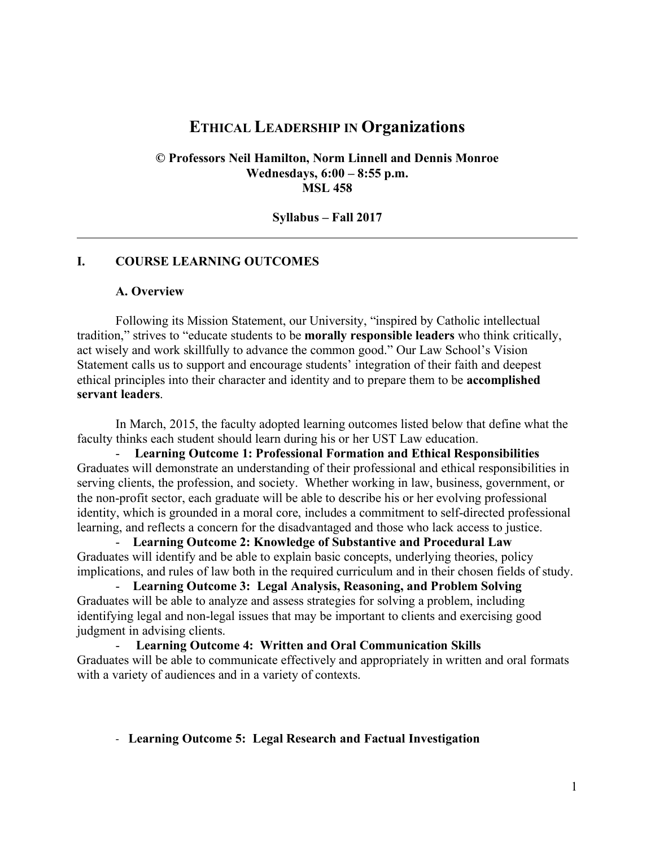# **ETHICAL LEADERSHIP IN Organizations**

**© Professors Neil Hamilton, Norm Linnell and Dennis Monroe Wednesdays, 6:00 – 8:55 p.m. MSL 458**

**Syllabus – Fall 2017**

#### **I. COURSE LEARNING OUTCOMES**

#### **A. Overview**

Following its Mission Statement, our University, "inspired by Catholic intellectual tradition," strives to "educate students to be **morally responsible leaders** who think critically, act wisely and work skillfully to advance the common good." Our Law School's Vision Statement calls us to support and encourage students' integration of their faith and deepest ethical principles into their character and identity and to prepare them to be **accomplished servant leaders**.

In March, 2015, the faculty adopted learning outcomes listed below that define what the faculty thinks each student should learn during his or her UST Law education.

- **Learning Outcome 1: Professional Formation and Ethical Responsibilities**  Graduates will demonstrate an understanding of their professional and ethical responsibilities in serving clients, the profession, and society. Whether working in law, business, government, or the non-profit sector, each graduate will be able to describe his or her evolving professional identity, which is grounded in a moral core, includes a commitment to self-directed professional learning, and reflects a concern for the disadvantaged and those who lack access to justice.

- **Learning Outcome 2: Knowledge of Substantive and Procedural Law** Graduates will identify and be able to explain basic concepts, underlying theories, policy implications, and rules of law both in the required curriculum and in their chosen fields of study.

- **Learning Outcome 3: Legal Analysis, Reasoning, and Problem Solving** Graduates will be able to analyze and assess strategies for solving a problem, including identifying legal and non-legal issues that may be important to clients and exercising good judgment in advising clients.

- **Learning Outcome 4: Written and Oral Communication Skills** Graduates will be able to communicate effectively and appropriately in written and oral formats with a variety of audiences and in a variety of contexts.

#### - **Learning Outcome 5: Legal Research and Factual Investigation**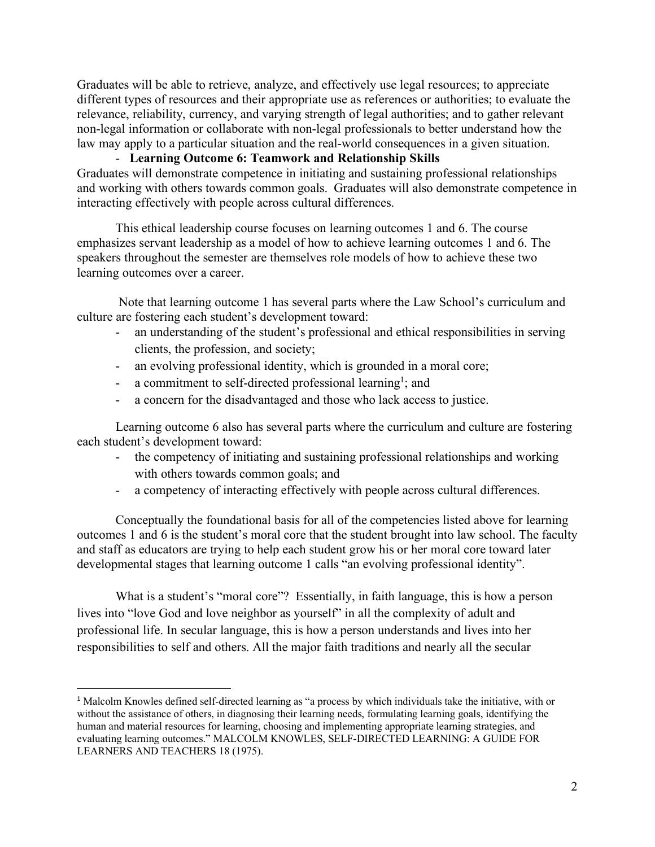Graduates will be able to retrieve, analyze, and effectively use legal resources; to appreciate different types of resources and their appropriate use as references or authorities; to evaluate the relevance, reliability, currency, and varying strength of legal authorities; and to gather relevant non-legal information or collaborate with non-legal professionals to better understand how the law may apply to a particular situation and the real-world consequences in a given situation.

- **Learning Outcome 6: Teamwork and Relationship Skills** Graduates will demonstrate competence in initiating and sustaining professional relationships and working with others towards common goals. Graduates will also demonstrate competence in interacting effectively with people across cultural differences.

This ethical leadership course focuses on learning outcomes 1 and 6. The course emphasizes servant leadership as a model of how to achieve learning outcomes 1 and 6. The speakers throughout the semester are themselves role models of how to achieve these two learning outcomes over a career.

Note that learning outcome 1 has several parts where the Law School's curriculum and culture are fostering each student's development toward:

- an understanding of the student's professional and ethical responsibilities in serving clients, the profession, and society;
- an evolving professional identity, which is grounded in a moral core;
- a commitment to self-directed professional learning<sup>1</sup>; and
- a concern for the disadvantaged and those who lack access to justice.

Learning outcome 6 also has several parts where the curriculum and culture are fostering each student's development toward:

- the competency of initiating and sustaining professional relationships and working with others towards common goals; and
- a competency of interacting effectively with people across cultural differences.

Conceptually the foundational basis for all of the competencies listed above for learning outcomes 1 and 6 is the student's moral core that the student brought into law school. The faculty and staff as educators are trying to help each student grow his or her moral core toward later developmental stages that learning outcome 1 calls "an evolving professional identity".

What is a student's "moral core"? Essentially, in faith language, this is how a person lives into "love God and love neighbor as yourself" in all the complexity of adult and professional life. In secular language, this is how a person understands and lives into her responsibilities to self and others. All the major faith traditions and nearly all the secular

 $\overline{a}$ 

<sup>1</sup> Malcolm Knowles defined self-directed learning as "a process by which individuals take the initiative, with or without the assistance of others, in diagnosing their learning needs, formulating learning goals, identifying the human and material resources for learning, choosing and implementing appropriate learning strategies, and evaluating learning outcomes." MALCOLM KNOWLES, SELF-DIRECTED LEARNING: A GUIDE FOR LEARNERS AND TEACHERS 18 (1975).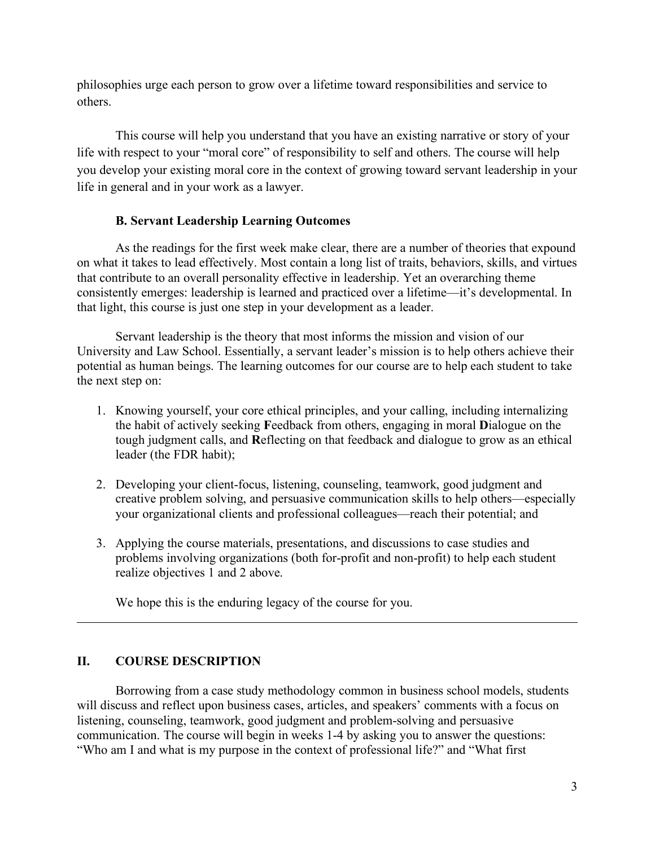philosophies urge each person to grow over a lifetime toward responsibilities and service to others.

This course will help you understand that you have an existing narrative or story of your life with respect to your "moral core" of responsibility to self and others. The course will help you develop your existing moral core in the context of growing toward servant leadership in your life in general and in your work as a lawyer.

### **B. Servant Leadership Learning Outcomes**

As the readings for the first week make clear, there are a number of theories that expound on what it takes to lead effectively. Most contain a long list of traits, behaviors, skills, and virtues that contribute to an overall personality effective in leadership. Yet an overarching theme consistently emerges: leadership is learned and practiced over a lifetime—it's developmental. In that light, this course is just one step in your development as a leader.

Servant leadership is the theory that most informs the mission and vision of our University and Law School. Essentially, a servant leader's mission is to help others achieve their potential as human beings. The learning outcomes for our course are to help each student to take the next step on:

- 1. Knowing yourself, your core ethical principles, and your calling, including internalizing the habit of actively seeking **F**eedback from others, engaging in moral **D**ialogue on the tough judgment calls, and **R**eflecting on that feedback and dialogue to grow as an ethical leader (the FDR habit);
- 2. Developing your client-focus, listening, counseling, teamwork, good judgment and creative problem solving, and persuasive communication skills to help others—especially your organizational clients and professional colleagues—reach their potential; and
- 3. Applying the course materials, presentations, and discussions to case studies and problems involving organizations (both for-profit and non-profit) to help each student realize objectives 1 and 2 above.

We hope this is the enduring legacy of the course for you.

### **II. COURSE DESCRIPTION**

Borrowing from a case study methodology common in business school models, students will discuss and reflect upon business cases, articles, and speakers' comments with a focus on listening, counseling, teamwork, good judgment and problem-solving and persuasive communication. The course will begin in weeks 1-4 by asking you to answer the questions: "Who am I and what is my purpose in the context of professional life?" and "What first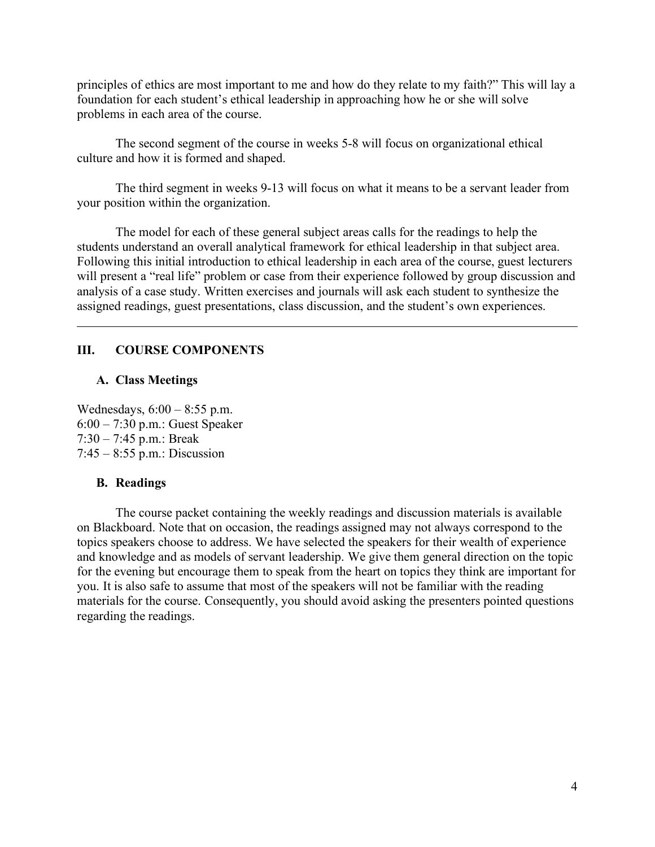principles of ethics are most important to me and how do they relate to my faith?" This will lay a foundation for each student's ethical leadership in approaching how he or she will solve problems in each area of the course.

The second segment of the course in weeks 5-8 will focus on organizational ethical culture and how it is formed and shaped.

The third segment in weeks 9-13 will focus on what it means to be a servant leader from your position within the organization.

The model for each of these general subject areas calls for the readings to help the students understand an overall analytical framework for ethical leadership in that subject area. Following this initial introduction to ethical leadership in each area of the course, guest lecturers will present a "real life" problem or case from their experience followed by group discussion and analysis of a case study. Written exercises and journals will ask each student to synthesize the assigned readings, guest presentations, class discussion, and the student's own experiences.

### **III. COURSE COMPONENTS**

#### **A. Class Meetings**

Wednesdays, 6:00 – 8:55 p.m. 6:00 – 7:30 p.m.: Guest Speaker 7:30 – 7:45 p.m.: Break 7:45 – 8:55 p.m.: Discussion

#### **B. Readings**

The course packet containing the weekly readings and discussion materials is available on Blackboard. Note that on occasion, the readings assigned may not always correspond to the topics speakers choose to address. We have selected the speakers for their wealth of experience and knowledge and as models of servant leadership. We give them general direction on the topic for the evening but encourage them to speak from the heart on topics they think are important for you. It is also safe to assume that most of the speakers will not be familiar with the reading materials for the course. Consequently, you should avoid asking the presenters pointed questions regarding the readings.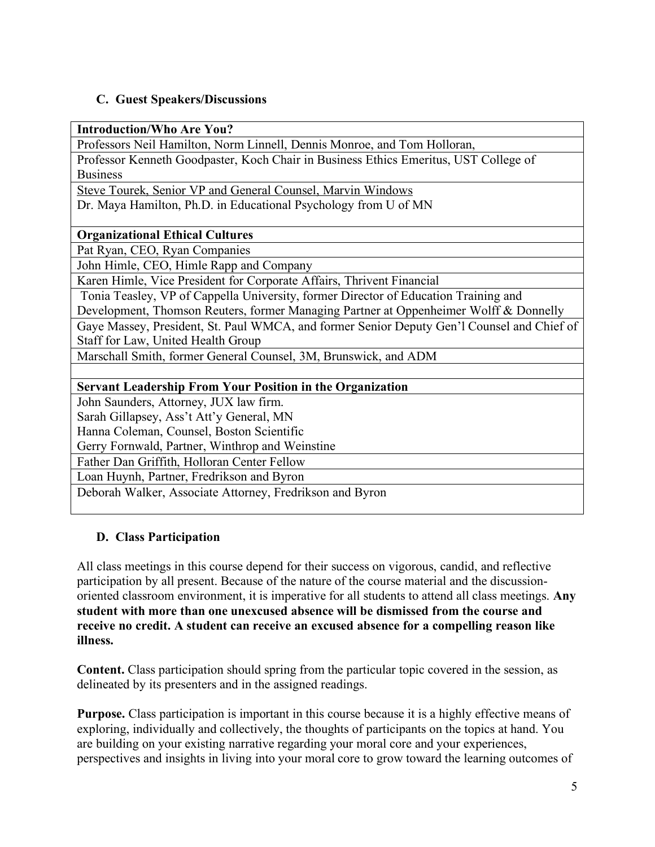## **C. Guest Speakers/Discussions**

**Introduction/Who Are You?**

Professors Neil Hamilton, Norm Linnell, Dennis Monroe, and Tom Holloran,

Professor Kenneth Goodpaster, Koch Chair in Business Ethics Emeritus, UST College of Business

Steve Tourek, Senior VP and General Counsel, Marvin Windows

Dr. Maya Hamilton, Ph.D. in Educational Psychology from U of MN

### **Organizational Ethical Cultures**

Pat Ryan, CEO, Ryan Companies

John Himle, CEO, Himle Rapp and Company

Karen Himle, Vice President for Corporate Affairs, Thrivent Financial

Tonia Teasley, VP of Cappella University, former Director of Education Training and

Development, Thomson Reuters, former Managing Partner at Oppenheimer Wolff & Donnelly

Gaye Massey, President, St. Paul WMCA, and former Senior Deputy Gen'l Counsel and Chief of Staff for Law, United Health Group

Marschall Smith, former General Counsel, 3M, Brunswick, and ADM

### **Servant Leadership From Your Position in the Organization**

John Saunders, Attorney, JUX law firm.

Sarah Gillapsey, Ass't Att'y General, MN

Hanna Coleman, Counsel, Boston Scientific

Gerry Fornwald, Partner, Winthrop and Weinstine

Father Dan Griffith, Holloran Center Fellow

Loan Huynh, Partner, Fredrikson and Byron

Deborah Walker, Associate Attorney, Fredrikson and Byron

## **D. Class Participation**

All class meetings in this course depend for their success on vigorous, candid, and reflective participation by all present. Because of the nature of the course material and the discussionoriented classroom environment, it is imperative for all students to attend all class meetings. **Any student with more than one unexcused absence will be dismissed from the course and receive no credit. A student can receive an excused absence for a compelling reason like illness.** 

**Content.** Class participation should spring from the particular topic covered in the session, as delineated by its presenters and in the assigned readings.

**Purpose.** Class participation is important in this course because it is a highly effective means of exploring, individually and collectively, the thoughts of participants on the topics at hand. You are building on your existing narrative regarding your moral core and your experiences, perspectives and insights in living into your moral core to grow toward the learning outcomes of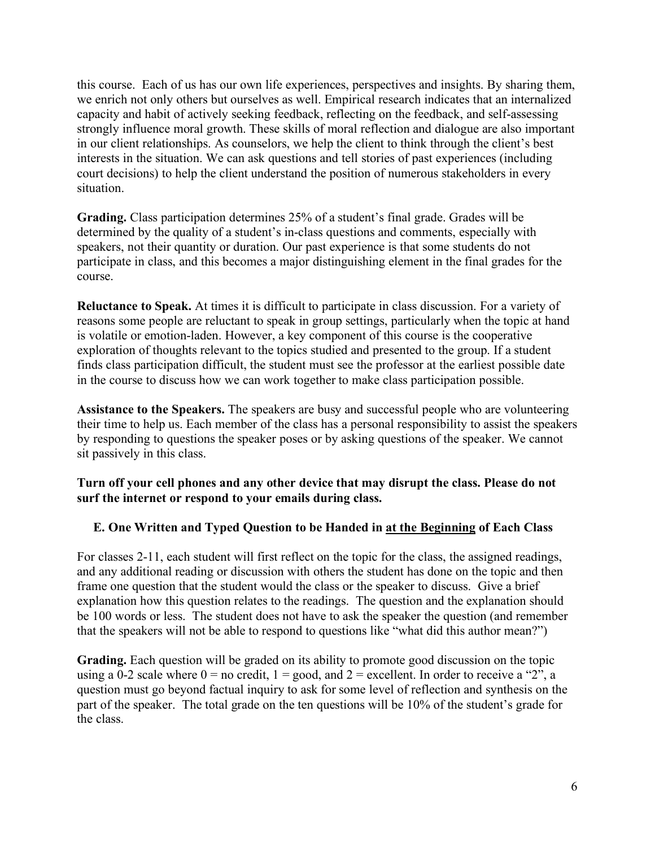this course. Each of us has our own life experiences, perspectives and insights. By sharing them, we enrich not only others but ourselves as well. Empirical research indicates that an internalized capacity and habit of actively seeking feedback, reflecting on the feedback, and self-assessing strongly influence moral growth. These skills of moral reflection and dialogue are also important in our client relationships. As counselors, we help the client to think through the client's best interests in the situation. We can ask questions and tell stories of past experiences (including court decisions) to help the client understand the position of numerous stakeholders in every situation.

**Grading.** Class participation determines 25% of a student's final grade. Grades will be determined by the quality of a student's in-class questions and comments, especially with speakers, not their quantity or duration. Our past experience is that some students do not participate in class, and this becomes a major distinguishing element in the final grades for the course.

**Reluctance to Speak.** At times it is difficult to participate in class discussion. For a variety of reasons some people are reluctant to speak in group settings, particularly when the topic at hand is volatile or emotion-laden. However, a key component of this course is the cooperative exploration of thoughts relevant to the topics studied and presented to the group. If a student finds class participation difficult, the student must see the professor at the earliest possible date in the course to discuss how we can work together to make class participation possible.

**Assistance to the Speakers.** The speakers are busy and successful people who are volunteering their time to help us. Each member of the class has a personal responsibility to assist the speakers by responding to questions the speaker poses or by asking questions of the speaker. We cannot sit passively in this class.

### **Turn off your cell phones and any other device that may disrupt the class. Please do not surf the internet or respond to your emails during class.**

### **E. One Written and Typed Question to be Handed in at the Beginning of Each Class**

For classes 2-11, each student will first reflect on the topic for the class, the assigned readings, and any additional reading or discussion with others the student has done on the topic and then frame one question that the student would the class or the speaker to discuss. Give a brief explanation how this question relates to the readings. The question and the explanation should be 100 words or less. The student does not have to ask the speaker the question (and remember that the speakers will not be able to respond to questions like "what did this author mean?")

**Grading.** Each question will be graded on its ability to promote good discussion on the topic using a 0-2 scale where  $0 =$  no credit,  $1 =$  good, and  $2 =$  excellent. In order to receive a "2", a question must go beyond factual inquiry to ask for some level of reflection and synthesis on the part of the speaker. The total grade on the ten questions will be 10% of the student's grade for the class.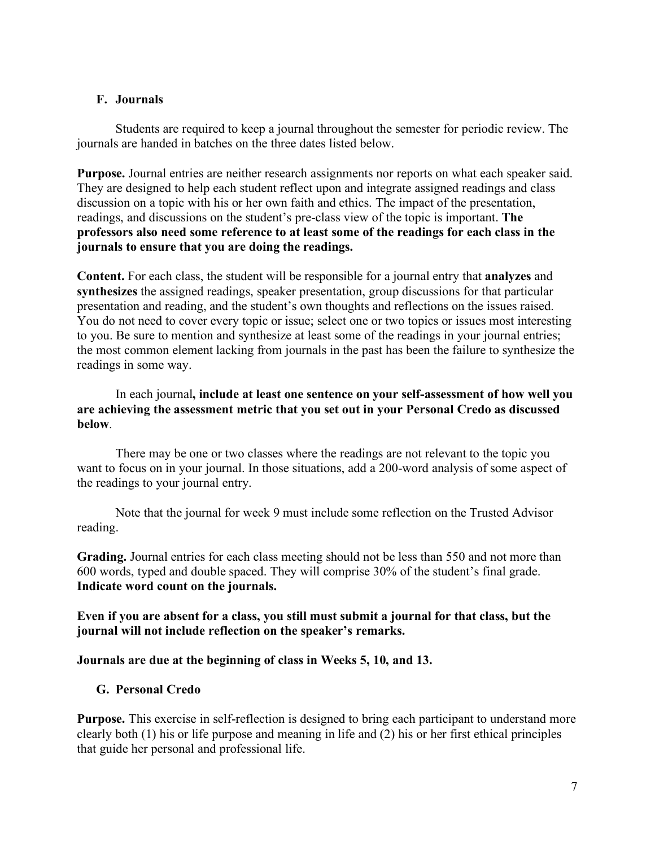### **F. Journals**

Students are required to keep a journal throughout the semester for periodic review. The journals are handed in batches on the three dates listed below.

**Purpose.** Journal entries are neither research assignments nor reports on what each speaker said. They are designed to help each student reflect upon and integrate assigned readings and class discussion on a topic with his or her own faith and ethics. The impact of the presentation, readings, and discussions on the student's pre-class view of the topic is important. **The professors also need some reference to at least some of the readings for each class in the journals to ensure that you are doing the readings.**

**Content.** For each class, the student will be responsible for a journal entry that **analyzes** and **synthesizes** the assigned readings, speaker presentation, group discussions for that particular presentation and reading, and the student's own thoughts and reflections on the issues raised. You do not need to cover every topic or issue; select one or two topics or issues most interesting to you. Be sure to mention and synthesize at least some of the readings in your journal entries; the most common element lacking from journals in the past has been the failure to synthesize the readings in some way.

### In each journal**, include at least one sentence on your self-assessment of how well you are achieving the assessment metric that you set out in your Personal Credo as discussed below**.

There may be one or two classes where the readings are not relevant to the topic you want to focus on in your journal. In those situations, add a 200-word analysis of some aspect of the readings to your journal entry.

Note that the journal for week 9 must include some reflection on the Trusted Advisor reading.

**Grading.** Journal entries for each class meeting should not be less than 550 and not more than 600 words, typed and double spaced. They will comprise 30% of the student's final grade. **Indicate word count on the journals.**

**Even if you are absent for a class, you still must submit a journal for that class, but the journal will not include reflection on the speaker's remarks.** 

### **Journals are due at the beginning of class in Weeks 5, 10, and 13.**

### **G. Personal Credo**

**Purpose.** This exercise in self-reflection is designed to bring each participant to understand more clearly both (1) his or life purpose and meaning in life and (2) his or her first ethical principles that guide her personal and professional life.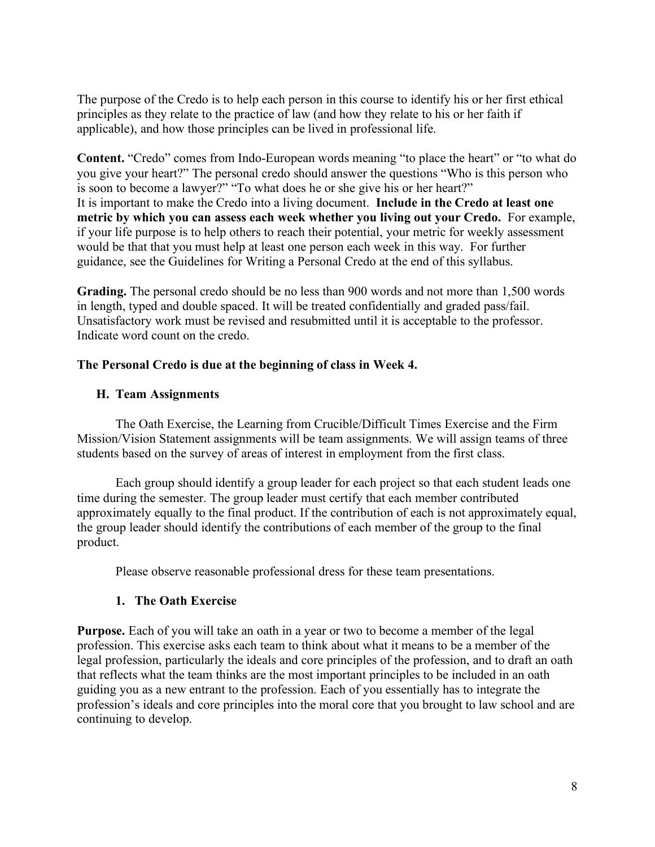The purpose of the Credo is to help each person in this course to identify his or her first ethical principles as they relate to the practice of law (and how they relate to his or her faith if applicable), and how those principles can be lived in professional life.

**Content.** "Credo" comes from Indo-European words meaning "to place the heart" or "to what do you give your heart?" The personal credo should answer the questions "Who is this person who is soon to become a lawyer?" "To what does he or she give his or her heart?" It is important to make the Credo into a living document. **Include in the Credo at least one metric by which you can assess each week whether you living out your Credo.** For example, if your life purpose is to help others to reach their potential, your metric for weekly assessment would be that that you must help at least one person each week in this way. For further guidance, see the Guidelines for Writing a Personal Credo at the end of this syllabus.

**Grading.** The personal credo should be no less than 900 words and not more than 1,500 words in length, typed and double spaced. It will be treated confidentially and graded pass/fail. Unsatisfactory work must be revised and resubmitted until it is acceptable to the professor. Indicate word count on the credo.

### **The Personal Credo is due at the beginning of class in Week 4.**

### **H. Team Assignments**

The Oath Exercise, the Learning from Crucible/Difficult Times Exercise and the Firm Mission/Vision Statement assignments will be team assignments. We will assign teams of three students based on the survey of areas of interest in employment from the first class.

Each group should identify a group leader for each project so that each student leads one time during the semester. The group leader must certify that each member contributed approximately equally to the final product. If the contribution of each is not approximately equal, the group leader should identify the contributions of each member of the group to the final product.

Please observe reasonable professional dress for these team presentations.

### **1. The Oath Exercise**

**Purpose.** Each of you will take an oath in a year or two to become a member of the legal profession. This exercise asks each team to think about what it means to be a member of the legal profession, particularly the ideals and core principles of the profession, and to draft an oath that reflects what the team thinks are the most important principles to be included in an oath guiding you as a new entrant to the profession. Each of you essentially has to integrate the profession's ideals and core principles into the moral core that you brought to law school and are continuing to develop.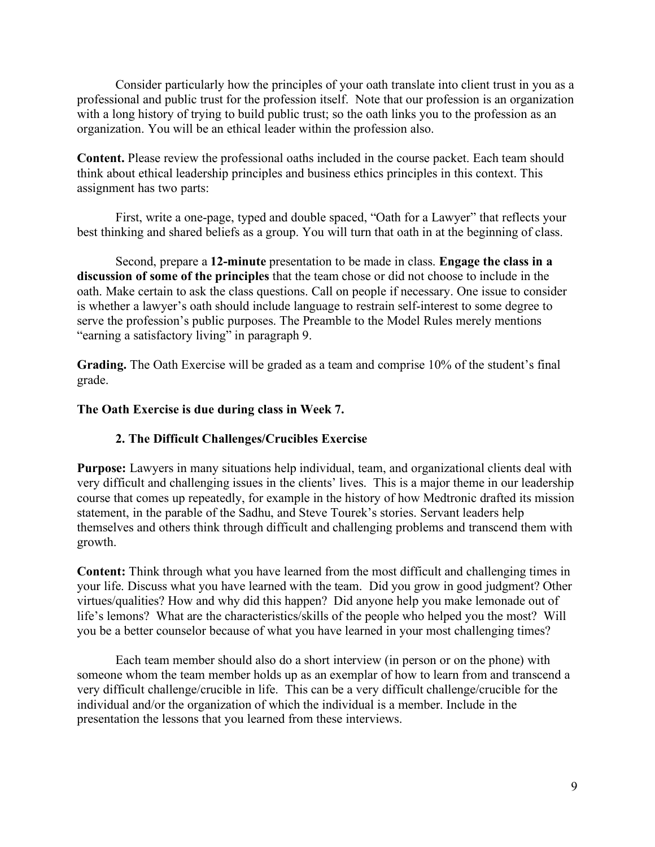Consider particularly how the principles of your oath translate into client trust in you as a professional and public trust for the profession itself. Note that our profession is an organization with a long history of trying to build public trust; so the oath links you to the profession as an organization. You will be an ethical leader within the profession also.

**Content.** Please review the professional oaths included in the course packet. Each team should think about ethical leadership principles and business ethics principles in this context. This assignment has two parts:

First, write a one-page, typed and double spaced, "Oath for a Lawyer" that reflects your best thinking and shared beliefs as a group. You will turn that oath in at the beginning of class.

Second, prepare a **12-minute** presentation to be made in class. **Engage the class in a discussion of some of the principles** that the team chose or did not choose to include in the oath. Make certain to ask the class questions. Call on people if necessary. One issue to consider is whether a lawyer's oath should include language to restrain self-interest to some degree to serve the profession's public purposes. The Preamble to the Model Rules merely mentions "earning a satisfactory living" in paragraph 9.

**Grading.** The Oath Exercise will be graded as a team and comprise 10% of the student's final grade.

### **The Oath Exercise is due during class in Week 7.**

### **2. The Difficult Challenges/Crucibles Exercise**

**Purpose:** Lawyers in many situations help individual, team, and organizational clients deal with very difficult and challenging issues in the clients' lives. This is a major theme in our leadership course that comes up repeatedly, for example in the history of how Medtronic drafted its mission statement, in the parable of the Sadhu, and Steve Tourek's stories. Servant leaders help themselves and others think through difficult and challenging problems and transcend them with growth.

**Content:** Think through what you have learned from the most difficult and challenging times in your life. Discuss what you have learned with the team. Did you grow in good judgment? Other virtues/qualities? How and why did this happen? Did anyone help you make lemonade out of life's lemons? What are the characteristics/skills of the people who helped you the most? Will you be a better counselor because of what you have learned in your most challenging times?

Each team member should also do a short interview (in person or on the phone) with someone whom the team member holds up as an exemplar of how to learn from and transcend a very difficult challenge/crucible in life. This can be a very difficult challenge/crucible for the individual and/or the organization of which the individual is a member. Include in the presentation the lessons that you learned from these interviews.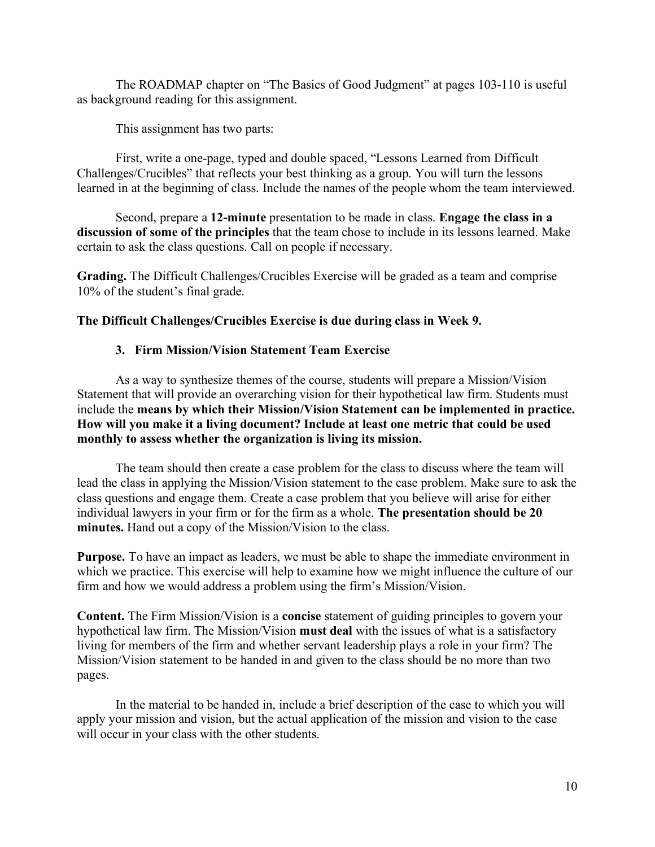The ROADMAP chapter on "The Basics of Good Judgment" at pages 103-110 is useful as background reading for this assignment.

This assignment has two parts:

First, write a one-page, typed and double spaced, "Lessons Learned from Difficult Challenges/Crucibles" that reflects your best thinking as a group. You will turn the lessons learned in at the beginning of class. Include the names of the people whom the team interviewed.

Second, prepare a **12-minute** presentation to be made in class. **Engage the class in a discussion of some of the principles** that the team chose to include in its lessons learned. Make certain to ask the class questions. Call on people if necessary.

**Grading.** The Difficult Challenges/Crucibles Exercise will be graded as a team and comprise 10% of the student's final grade.

### **The Difficult Challenges/Crucibles Exercise is due during class in Week 9.**

### **3. Firm Mission/Vision Statement Team Exercise**

As a way to synthesize themes of the course, students will prepare a Mission/Vision Statement that will provide an overarching vision for their hypothetical law firm. Students must include the **means by which their Mission/Vision Statement can be implemented in practice. How will you make it a living document? Include at least one metric that could be used monthly to assess whether the organization is living its mission.**

The team should then create a case problem for the class to discuss where the team will lead the class in applying the Mission/Vision statement to the case problem. Make sure to ask the class questions and engage them. Create a case problem that you believe will arise for either individual lawyers in your firm or for the firm as a whole. **The presentation should be 20 minutes.** Hand out a copy of the Mission/Vision to the class.

**Purpose.** To have an impact as leaders, we must be able to shape the immediate environment in which we practice. This exercise will help to examine how we might influence the culture of our firm and how we would address a problem using the firm's Mission/Vision.

**Content.** The Firm Mission/Vision is a **concise** statement of guiding principles to govern your hypothetical law firm. The Mission/Vision **must deal** with the issues of what is a satisfactory living for members of the firm and whether servant leadership plays a role in your firm? The Mission/Vision statement to be handed in and given to the class should be no more than two pages.

In the material to be handed in, include a brief description of the case to which you will apply your mission and vision, but the actual application of the mission and vision to the case will occur in your class with the other students.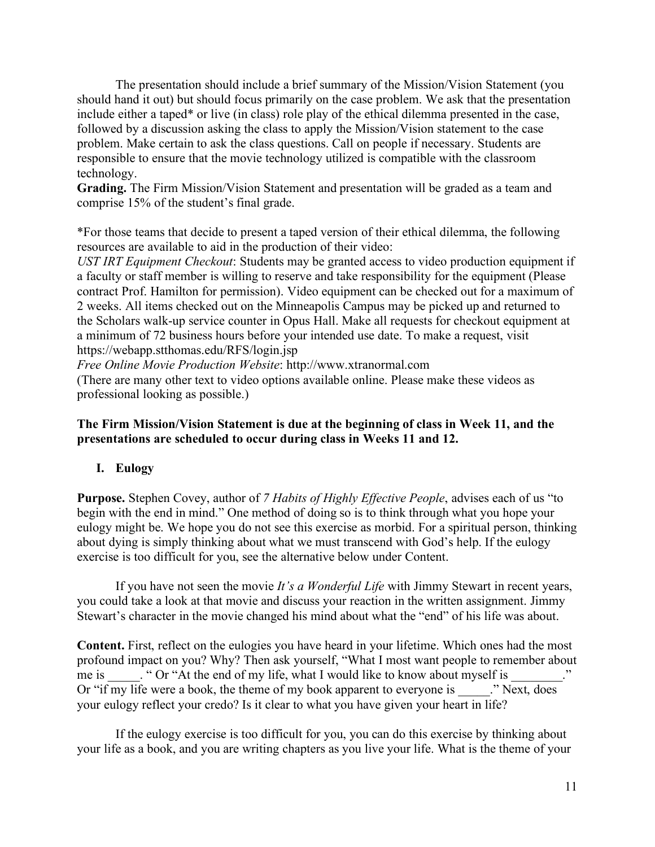The presentation should include a brief summary of the Mission/Vision Statement (you should hand it out) but should focus primarily on the case problem. We ask that the presentation include either a taped\* or live (in class) role play of the ethical dilemma presented in the case, followed by a discussion asking the class to apply the Mission/Vision statement to the case problem. Make certain to ask the class questions. Call on people if necessary. Students are responsible to ensure that the movie technology utilized is compatible with the classroom technology.

**Grading.** The Firm Mission/Vision Statement and presentation will be graded as a team and comprise 15% of the student's final grade.

\*For those teams that decide to present a taped version of their ethical dilemma, the following resources are available to aid in the production of their video:

*UST IRT Equipment Checkout*: Students may be granted access to video production equipment if a faculty or staff member is willing to reserve and take responsibility for the equipment (Please contract Prof. Hamilton for permission). Video equipment can be checked out for a maximum of 2 weeks. All items checked out on the Minneapolis Campus may be picked up and returned to the Scholars walk-up service counter in Opus Hall. Make all requests for checkout equipment at a minimum of 72 business hours before your intended use date. To make a request, visit https://webapp.stthomas.edu/RFS/login.jsp

*Free Online Movie Production Website*: http://www.xtranormal.com

(There are many other text to video options available online. Please make these videos as professional looking as possible.)

### **The Firm Mission/Vision Statement is due at the beginning of class in Week 11, and the presentations are scheduled to occur during class in Weeks 11 and 12.**

### **I. Eulogy**

**Purpose.** Stephen Covey, author of *7 Habits of Highly Effective People*, advises each of us "to begin with the end in mind." One method of doing so is to think through what you hope your eulogy might be. We hope you do not see this exercise as morbid. For a spiritual person, thinking about dying is simply thinking about what we must transcend with God's help. If the eulogy exercise is too difficult for you, see the alternative below under Content.

If you have not seen the movie *It's a Wonderful Life* with Jimmy Stewart in recent years, you could take a look at that movie and discuss your reaction in the written assignment. Jimmy Stewart's character in the movie changed his mind about what the "end" of his life was about.

**Content.** First, reflect on the eulogies you have heard in your lifetime. Which ones had the most profound impact on you? Why? Then ask yourself, "What I most want people to remember about me is \_\_\_\_. " Or "At the end of my life, what I would like to know about myself is Or "if my life were a book, the theme of my book apparent to everyone is  $\overline{\phantom{a}}$ ." Next, does your eulogy reflect your credo? Is it clear to what you have given your heart in life?

If the eulogy exercise is too difficult for you, you can do this exercise by thinking about your life as a book, and you are writing chapters as you live your life. What is the theme of your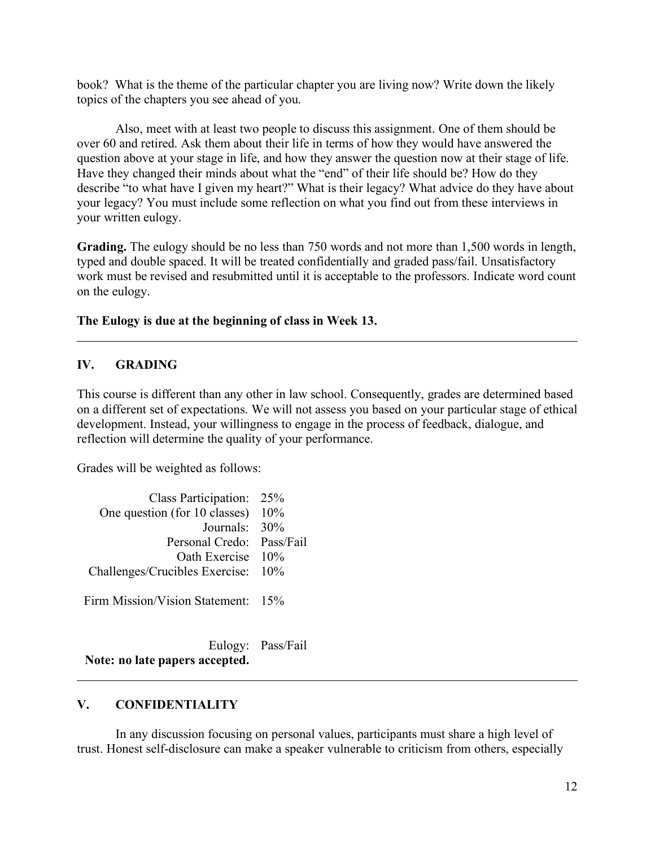book? What is the theme of the particular chapter you are living now? Write down the likely topics of the chapters you see ahead of you.

Also, meet with at least two people to discuss this assignment. One of them should be over 60 and retired. Ask them about their life in terms of how they would have answered the question above at your stage in life, and how they answer the question now at their stage of life. Have they changed their minds about what the "end" of their life should be? How do they describe "to what have I given my heart?" What is their legacy? What advice do they have about your legacy? You must include some reflection on what you find out from these interviews in your written eulogy.

**Grading.** The eulogy should be no less than 750 words and not more than 1,500 words in length, typed and double spaced. It will be treated confidentially and graded pass/fail. Unsatisfactory work must be revised and resubmitted until it is acceptable to the professors. Indicate word count on the eulogy.

### **The Eulogy is due at the beginning of class in Week 13.**

### **IV. GRADING**

This course is different than any other in law school. Consequently, grades are determined based on a different set of expectations. We will not assess you based on your particular stage of ethical development. Instead, your willingness to engage in the process of feedback, dialogue, and reflection will determine the quality of your performance.

Grades will be weighted as follows:

| Class Participation: 25%              |     |
|---------------------------------------|-----|
| One question (for 10 classes)         | 10% |
| Journals: $30\%$                      |     |
| Personal Credo: Pass/Fail             |     |
| Oath Exercise 10%                     |     |
| Challenges/Crucibles Exercise: 10%    |     |
|                                       |     |
| <b>Firm Mission/Vision Statement:</b> | 15% |

Eulogy: Pass/Fail **Note: no late papers accepted.**

#### **V. CONFIDENTIALITY**

In any discussion focusing on personal values, participants must share a high level of trust. Honest self-disclosure can make a speaker vulnerable to criticism from others, especially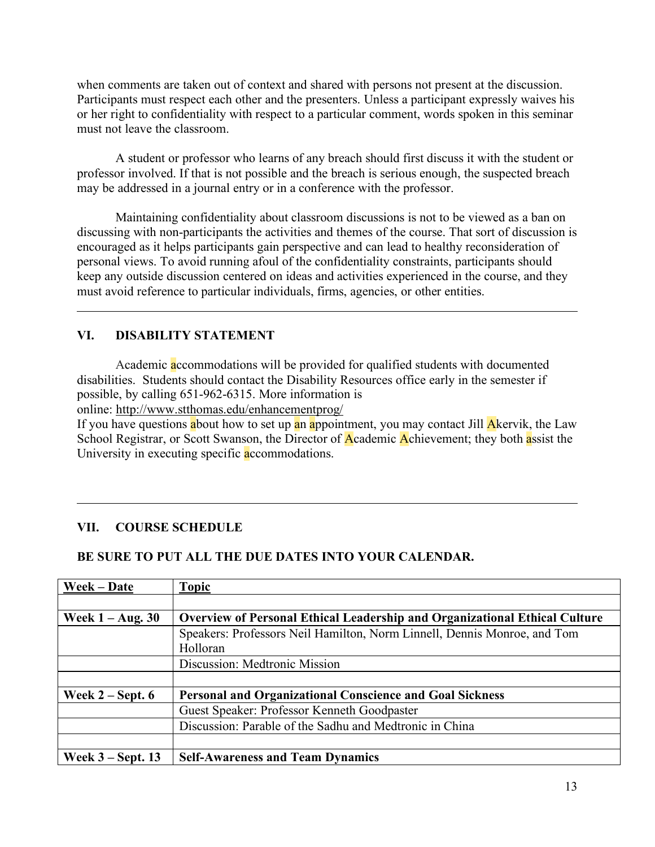when comments are taken out of context and shared with persons not present at the discussion. Participants must respect each other and the presenters. Unless a participant expressly waives his or her right to confidentiality with respect to a particular comment, words spoken in this seminar must not leave the classroom.

A student or professor who learns of any breach should first discuss it with the student or professor involved. If that is not possible and the breach is serious enough, the suspected breach may be addressed in a journal entry or in a conference with the professor.

Maintaining confidentiality about classroom discussions is not to be viewed as a ban on discussing with non-participants the activities and themes of the course. That sort of discussion is encouraged as it helps participants gain perspective and can lead to healthy reconsideration of personal views. To avoid running afoul of the confidentiality constraints, participants should keep any outside discussion centered on ideas and activities experienced in the course, and they must avoid reference to particular individuals, firms, agencies, or other entities.

## **VI. DISABILITY STATEMENT**

Academic accommodations will be provided for qualified students with documented disabilities. Students should contact the Disability Resources office early in the semester if possible, by calling 651-962-6315. More information is

online: http://www.stthomas.edu/enhancementprog/

If you have questions about how to set up an appointment, you may contact Jill Akervik, the Law School Registrar, or Scott Swanson, the Director of Academic Achievement; they both assist the University in executing specific accommodations.

### **VII. COURSE SCHEDULE**

#### **BE SURE TO PUT ALL THE DUE DATES INTO YOUR CALENDAR.**

| Week – Date         | <b>Topic</b>                                                                      |
|---------------------|-----------------------------------------------------------------------------------|
|                     |                                                                                   |
| Week $1 - Aug. 30$  | <b>Overview of Personal Ethical Leadership and Organizational Ethical Culture</b> |
|                     | Speakers: Professors Neil Hamilton, Norm Linnell, Dennis Monroe, and Tom          |
|                     | Holloran                                                                          |
|                     | Discussion: Medtronic Mission                                                     |
|                     |                                                                                   |
| Week $2 -$ Sept. 6  | <b>Personal and Organizational Conscience and Goal Sickness</b>                   |
|                     | Guest Speaker: Professor Kenneth Goodpaster                                       |
|                     | Discussion: Parable of the Sadhu and Medtronic in China                           |
|                     |                                                                                   |
| Week $3 -$ Sept. 13 | <b>Self-Awareness and Team Dynamics</b>                                           |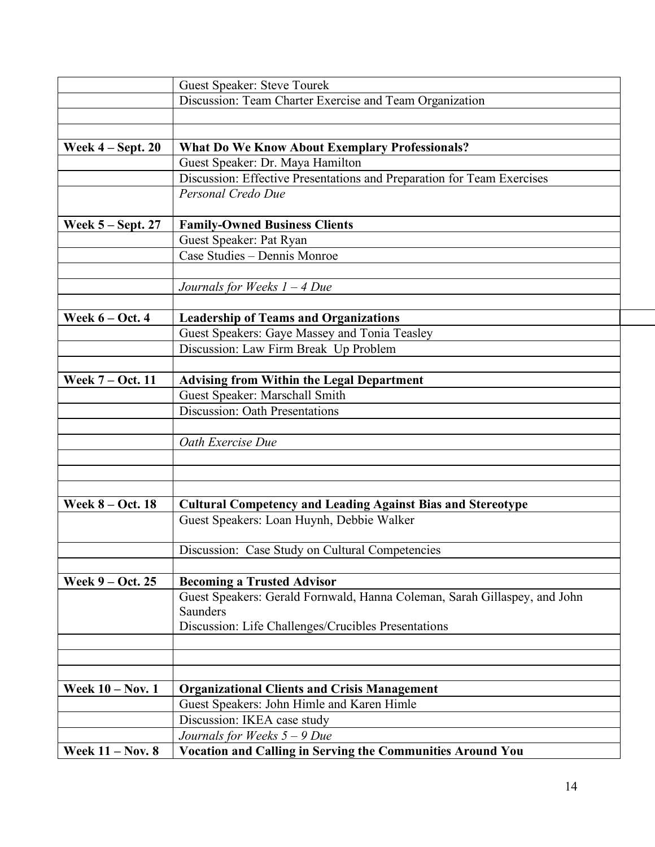| Discussion: Team Charter Exercise and Team Organization<br><b>What Do We Know About Exemplary Professionals?</b><br>Week $4 - Sept. 20$<br>Guest Speaker: Dr. Maya Hamilton<br>Discussion: Effective Presentations and Preparation for Team Exercises<br>Personal Credo Due<br><b>Family-Owned Business Clients</b><br>Week $5 -$ Sept. 27<br>Guest Speaker: Pat Ryan<br>Case Studies - Dennis Monroe<br>Journals for Weeks $1 - 4$ Due<br>Week $6 - Oct. 4$<br><b>Leadership of Teams and Organizations</b><br>Guest Speakers: Gaye Massey and Tonia Teasley<br>Discussion: Law Firm Break Up Problem<br>Week 7 - Oct. 11<br><b>Advising from Within the Legal Department</b><br>Guest Speaker: Marschall Smith<br><b>Discussion: Oath Presentations</b><br>Oath Exercise Due<br><b>Cultural Competency and Leading Against Bias and Stereotype</b><br><b>Week 8 – Oct. 18</b><br>Guest Speakers: Loan Huynh, Debbie Walker<br>Discussion: Case Study on Cultural Competencies<br>Week 9 – Oct. 25<br><b>Becoming a Trusted Advisor</b><br>Guest Speakers: Gerald Fornwald, Hanna Coleman, Sarah Gillaspey, and John<br>Saunders<br>Discussion: Life Challenges/Crucibles Presentations<br><b>Week 10 - Nov. 1</b><br><b>Organizational Clients and Crisis Management</b><br>Guest Speakers: John Himle and Karen Himle<br>Discussion: IKEA case study | <b>Guest Speaker: Steve Tourek</b> |
|---------------------------------------------------------------------------------------------------------------------------------------------------------------------------------------------------------------------------------------------------------------------------------------------------------------------------------------------------------------------------------------------------------------------------------------------------------------------------------------------------------------------------------------------------------------------------------------------------------------------------------------------------------------------------------------------------------------------------------------------------------------------------------------------------------------------------------------------------------------------------------------------------------------------------------------------------------------------------------------------------------------------------------------------------------------------------------------------------------------------------------------------------------------------------------------------------------------------------------------------------------------------------------------------------------------------------------------------------------|------------------------------------|
|                                                                                                                                                                                                                                                                                                                                                                                                                                                                                                                                                                                                                                                                                                                                                                                                                                                                                                                                                                                                                                                                                                                                                                                                                                                                                                                                                         |                                    |
|                                                                                                                                                                                                                                                                                                                                                                                                                                                                                                                                                                                                                                                                                                                                                                                                                                                                                                                                                                                                                                                                                                                                                                                                                                                                                                                                                         |                                    |
|                                                                                                                                                                                                                                                                                                                                                                                                                                                                                                                                                                                                                                                                                                                                                                                                                                                                                                                                                                                                                                                                                                                                                                                                                                                                                                                                                         |                                    |
|                                                                                                                                                                                                                                                                                                                                                                                                                                                                                                                                                                                                                                                                                                                                                                                                                                                                                                                                                                                                                                                                                                                                                                                                                                                                                                                                                         |                                    |
|                                                                                                                                                                                                                                                                                                                                                                                                                                                                                                                                                                                                                                                                                                                                                                                                                                                                                                                                                                                                                                                                                                                                                                                                                                                                                                                                                         |                                    |
|                                                                                                                                                                                                                                                                                                                                                                                                                                                                                                                                                                                                                                                                                                                                                                                                                                                                                                                                                                                                                                                                                                                                                                                                                                                                                                                                                         |                                    |
|                                                                                                                                                                                                                                                                                                                                                                                                                                                                                                                                                                                                                                                                                                                                                                                                                                                                                                                                                                                                                                                                                                                                                                                                                                                                                                                                                         |                                    |
|                                                                                                                                                                                                                                                                                                                                                                                                                                                                                                                                                                                                                                                                                                                                                                                                                                                                                                                                                                                                                                                                                                                                                                                                                                                                                                                                                         |                                    |
|                                                                                                                                                                                                                                                                                                                                                                                                                                                                                                                                                                                                                                                                                                                                                                                                                                                                                                                                                                                                                                                                                                                                                                                                                                                                                                                                                         |                                    |
|                                                                                                                                                                                                                                                                                                                                                                                                                                                                                                                                                                                                                                                                                                                                                                                                                                                                                                                                                                                                                                                                                                                                                                                                                                                                                                                                                         |                                    |
|                                                                                                                                                                                                                                                                                                                                                                                                                                                                                                                                                                                                                                                                                                                                                                                                                                                                                                                                                                                                                                                                                                                                                                                                                                                                                                                                                         |                                    |
|                                                                                                                                                                                                                                                                                                                                                                                                                                                                                                                                                                                                                                                                                                                                                                                                                                                                                                                                                                                                                                                                                                                                                                                                                                                                                                                                                         |                                    |
|                                                                                                                                                                                                                                                                                                                                                                                                                                                                                                                                                                                                                                                                                                                                                                                                                                                                                                                                                                                                                                                                                                                                                                                                                                                                                                                                                         |                                    |
|                                                                                                                                                                                                                                                                                                                                                                                                                                                                                                                                                                                                                                                                                                                                                                                                                                                                                                                                                                                                                                                                                                                                                                                                                                                                                                                                                         |                                    |
|                                                                                                                                                                                                                                                                                                                                                                                                                                                                                                                                                                                                                                                                                                                                                                                                                                                                                                                                                                                                                                                                                                                                                                                                                                                                                                                                                         |                                    |
|                                                                                                                                                                                                                                                                                                                                                                                                                                                                                                                                                                                                                                                                                                                                                                                                                                                                                                                                                                                                                                                                                                                                                                                                                                                                                                                                                         |                                    |
|                                                                                                                                                                                                                                                                                                                                                                                                                                                                                                                                                                                                                                                                                                                                                                                                                                                                                                                                                                                                                                                                                                                                                                                                                                                                                                                                                         |                                    |
|                                                                                                                                                                                                                                                                                                                                                                                                                                                                                                                                                                                                                                                                                                                                                                                                                                                                                                                                                                                                                                                                                                                                                                                                                                                                                                                                                         |                                    |
|                                                                                                                                                                                                                                                                                                                                                                                                                                                                                                                                                                                                                                                                                                                                                                                                                                                                                                                                                                                                                                                                                                                                                                                                                                                                                                                                                         |                                    |
|                                                                                                                                                                                                                                                                                                                                                                                                                                                                                                                                                                                                                                                                                                                                                                                                                                                                                                                                                                                                                                                                                                                                                                                                                                                                                                                                                         |                                    |
|                                                                                                                                                                                                                                                                                                                                                                                                                                                                                                                                                                                                                                                                                                                                                                                                                                                                                                                                                                                                                                                                                                                                                                                                                                                                                                                                                         |                                    |
|                                                                                                                                                                                                                                                                                                                                                                                                                                                                                                                                                                                                                                                                                                                                                                                                                                                                                                                                                                                                                                                                                                                                                                                                                                                                                                                                                         |                                    |
|                                                                                                                                                                                                                                                                                                                                                                                                                                                                                                                                                                                                                                                                                                                                                                                                                                                                                                                                                                                                                                                                                                                                                                                                                                                                                                                                                         |                                    |
|                                                                                                                                                                                                                                                                                                                                                                                                                                                                                                                                                                                                                                                                                                                                                                                                                                                                                                                                                                                                                                                                                                                                                                                                                                                                                                                                                         |                                    |
|                                                                                                                                                                                                                                                                                                                                                                                                                                                                                                                                                                                                                                                                                                                                                                                                                                                                                                                                                                                                                                                                                                                                                                                                                                                                                                                                                         |                                    |
|                                                                                                                                                                                                                                                                                                                                                                                                                                                                                                                                                                                                                                                                                                                                                                                                                                                                                                                                                                                                                                                                                                                                                                                                                                                                                                                                                         |                                    |
|                                                                                                                                                                                                                                                                                                                                                                                                                                                                                                                                                                                                                                                                                                                                                                                                                                                                                                                                                                                                                                                                                                                                                                                                                                                                                                                                                         |                                    |
|                                                                                                                                                                                                                                                                                                                                                                                                                                                                                                                                                                                                                                                                                                                                                                                                                                                                                                                                                                                                                                                                                                                                                                                                                                                                                                                                                         |                                    |
|                                                                                                                                                                                                                                                                                                                                                                                                                                                                                                                                                                                                                                                                                                                                                                                                                                                                                                                                                                                                                                                                                                                                                                                                                                                                                                                                                         |                                    |
|                                                                                                                                                                                                                                                                                                                                                                                                                                                                                                                                                                                                                                                                                                                                                                                                                                                                                                                                                                                                                                                                                                                                                                                                                                                                                                                                                         |                                    |
|                                                                                                                                                                                                                                                                                                                                                                                                                                                                                                                                                                                                                                                                                                                                                                                                                                                                                                                                                                                                                                                                                                                                                                                                                                                                                                                                                         |                                    |
|                                                                                                                                                                                                                                                                                                                                                                                                                                                                                                                                                                                                                                                                                                                                                                                                                                                                                                                                                                                                                                                                                                                                                                                                                                                                                                                                                         |                                    |
|                                                                                                                                                                                                                                                                                                                                                                                                                                                                                                                                                                                                                                                                                                                                                                                                                                                                                                                                                                                                                                                                                                                                                                                                                                                                                                                                                         |                                    |
|                                                                                                                                                                                                                                                                                                                                                                                                                                                                                                                                                                                                                                                                                                                                                                                                                                                                                                                                                                                                                                                                                                                                                                                                                                                                                                                                                         |                                    |
|                                                                                                                                                                                                                                                                                                                                                                                                                                                                                                                                                                                                                                                                                                                                                                                                                                                                                                                                                                                                                                                                                                                                                                                                                                                                                                                                                         |                                    |
|                                                                                                                                                                                                                                                                                                                                                                                                                                                                                                                                                                                                                                                                                                                                                                                                                                                                                                                                                                                                                                                                                                                                                                                                                                                                                                                                                         |                                    |
|                                                                                                                                                                                                                                                                                                                                                                                                                                                                                                                                                                                                                                                                                                                                                                                                                                                                                                                                                                                                                                                                                                                                                                                                                                                                                                                                                         |                                    |
|                                                                                                                                                                                                                                                                                                                                                                                                                                                                                                                                                                                                                                                                                                                                                                                                                                                                                                                                                                                                                                                                                                                                                                                                                                                                                                                                                         |                                    |
|                                                                                                                                                                                                                                                                                                                                                                                                                                                                                                                                                                                                                                                                                                                                                                                                                                                                                                                                                                                                                                                                                                                                                                                                                                                                                                                                                         |                                    |
|                                                                                                                                                                                                                                                                                                                                                                                                                                                                                                                                                                                                                                                                                                                                                                                                                                                                                                                                                                                                                                                                                                                                                                                                                                                                                                                                                         |                                    |
|                                                                                                                                                                                                                                                                                                                                                                                                                                                                                                                                                                                                                                                                                                                                                                                                                                                                                                                                                                                                                                                                                                                                                                                                                                                                                                                                                         |                                    |
|                                                                                                                                                                                                                                                                                                                                                                                                                                                                                                                                                                                                                                                                                                                                                                                                                                                                                                                                                                                                                                                                                                                                                                                                                                                                                                                                                         |                                    |
|                                                                                                                                                                                                                                                                                                                                                                                                                                                                                                                                                                                                                                                                                                                                                                                                                                                                                                                                                                                                                                                                                                                                                                                                                                                                                                                                                         |                                    |
|                                                                                                                                                                                                                                                                                                                                                                                                                                                                                                                                                                                                                                                                                                                                                                                                                                                                                                                                                                                                                                                                                                                                                                                                                                                                                                                                                         |                                    |
|                                                                                                                                                                                                                                                                                                                                                                                                                                                                                                                                                                                                                                                                                                                                                                                                                                                                                                                                                                                                                                                                                                                                                                                                                                                                                                                                                         |                                    |
|                                                                                                                                                                                                                                                                                                                                                                                                                                                                                                                                                                                                                                                                                                                                                                                                                                                                                                                                                                                                                                                                                                                                                                                                                                                                                                                                                         |                                    |
| <b>Week 11 - Nov. 8</b><br>Vocation and Calling in Serving the Communities Around You                                                                                                                                                                                                                                                                                                                                                                                                                                                                                                                                                                                                                                                                                                                                                                                                                                                                                                                                                                                                                                                                                                                                                                                                                                                                   |                                    |
| Journals for Weeks $5 - 9$ Due                                                                                                                                                                                                                                                                                                                                                                                                                                                                                                                                                                                                                                                                                                                                                                                                                                                                                                                                                                                                                                                                                                                                                                                                                                                                                                                          |                                    |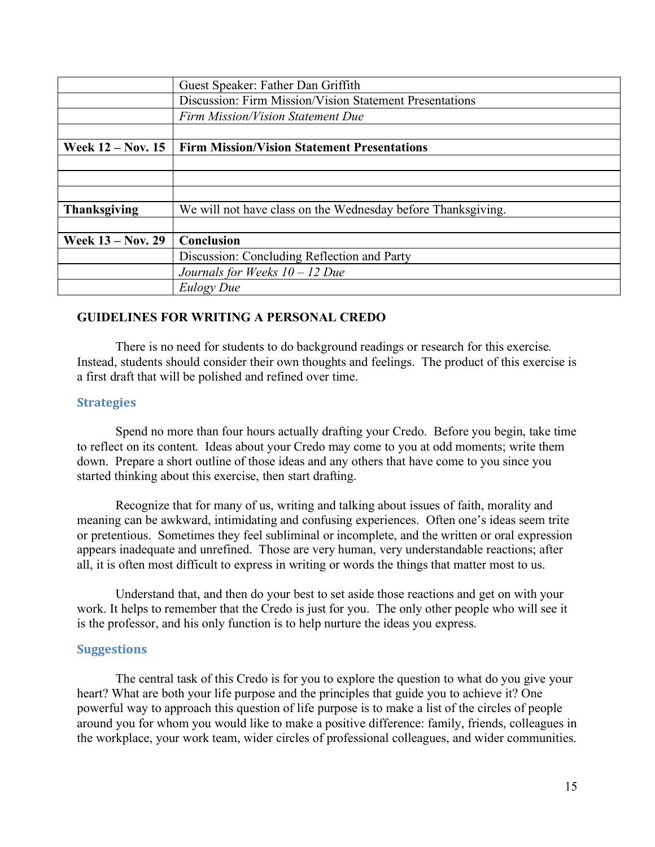|                          | Guest Speaker: Father Dan Griffith                           |
|--------------------------|--------------------------------------------------------------|
|                          | Discussion: Firm Mission/Vision Statement Presentations      |
|                          | Firm Mission/Vision Statement Due                            |
|                          |                                                              |
| <b>Week 12 – Nov. 15</b> | <b>Firm Mission/Vision Statement Presentations</b>           |
|                          |                                                              |
|                          |                                                              |
|                          |                                                              |
| <b>Thanksgiving</b>      | We will not have class on the Wednesday before Thanksgiving. |
|                          |                                                              |
| <b>Week 13 – Nov. 29</b> | Conclusion                                                   |
|                          | Discussion: Concluding Reflection and Party                  |
|                          | Journals for Weeks $10 - 12$ Due                             |
|                          | Eulogy Due                                                   |

### **GUIDELINES FOR WRITING A PERSONAL CREDO**

There is no need for students to do background readings or research for this exercise*.* Instead, students should consider their own thoughts and feelings. The product of this exercise is a first draft that will be polished and refined over time.

### **Strategies**

Spend no more than four hours actually drafting your Credo. Before you begin, take time to reflect on its content. Ideas about your Credo may come to you at odd moments; write them down. Prepare a short outline of those ideas and any others that have come to you since you started thinking about this exercise, then start drafting.

Recognize that for many of us, writing and talking about issues of faith, morality and meaning can be awkward, intimidating and confusing experiences. Often one's ideas seem trite or pretentious. Sometimes they feel subliminal or incomplete, and the written or oral expression appears inadequate and unrefined. Those are very human, very understandable reactions; after all, it is often most difficult to express in writing or words the things that matter most to us.

Understand that, and then do your best to set aside those reactions and get on with your work. It helps to remember that the Credo is just for you. The only other people who will see it is the professor, and his only function is to help nurture the ideas you express.

#### **Suggestions**

The central task of this Credo is for you to explore the question to what do you give your heart? What are both your life purpose and the principles that guide you to achieve it? One powerful way to approach this question of life purpose is to make a list of the circles of people around you for whom you would like to make a positive difference: family, friends, colleagues in the workplace, your work team, wider circles of professional colleagues, and wider communities.